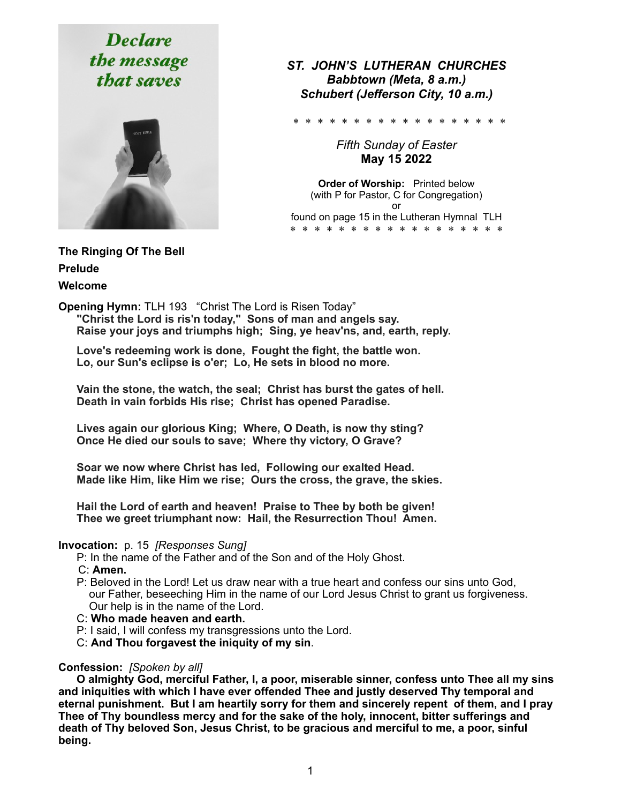# **Declare** the message that saves



*ST. JOHN'S LUTHERAN CHURCHES Babbtown (Meta, 8 a.m.) Schubert (Jefferson City, 10 a.m.)* 

\* \* \* \* \* \* \* \* \* \* \* \* \*

*Fifth Sunday of Easter*  **May 15 2022** 

**Order of Worship:** Printed below (with P for Pastor, C for Congregation) or found on page 15 in the Lutheran Hymnal TLH \* \* \* \* \* \* \* \* \* \* \* \* \* \* \* \* \* \*

**The Ringing Of The Bell Prelude** 

**Welcome** 

**Opening Hymn:** TLH 193 "Christ The Lord is Risen Today" **"Christ the Lord is ris'n today," Sons of man and angels say. Raise your joys and triumphs high; Sing, ye heav'ns, and, earth, reply.**

 **Love's redeeming work is done, Fought the fight, the battle won. Lo, our Sun's eclipse is o'er; Lo, He sets in blood no more.** 

 **Vain the stone, the watch, the seal; Christ has burst the gates of hell. Death in vain forbids His rise; Christ has opened Paradise.** 

 **Lives again our glorious King; Where, O Death, is now thy sting? Once He died our souls to save; Where thy victory, O Grave?** 

 **Soar we now where Christ has led, Following our exalted Head. Made like Him, like Him we rise; Ours the cross, the grave, the skies.** 

 **Hail the Lord of earth and heaven! Praise to Thee by both be given! Thee we greet triumphant now: Hail, the Resurrection Thou! Amen.**

#### **Invocation:** p. 15 *[Responses Sung]*

P: In the name of the Father and of the Son and of the Holy Ghost.

- C: **Amen.**
- P: Beloved in the Lord! Let us draw near with a true heart and confess our sins unto God, our Father, beseeching Him in the name of our Lord Jesus Christ to grant us forgiveness. Our help is in the name of the Lord.
- C: **Who made heaven and earth.**
- P: I said, I will confess my transgressions unto the Lord.
- C: **And Thou forgavest the iniquity of my sin**.

#### **Confession:** *[Spoken by all]*

 **O almighty God, merciful Father, I, a poor, miserable sinner, confess unto Thee all my sins and iniquities with which I have ever offended Thee and justly deserved Thy temporal and eternal punishment. But I am heartily sorry for them and sincerely repent of them, and I pray Thee of Thy boundless mercy and for the sake of the holy, innocent, bitter sufferings and death of Thy beloved Son, Jesus Christ, to be gracious and merciful to me, a poor, sinful being.**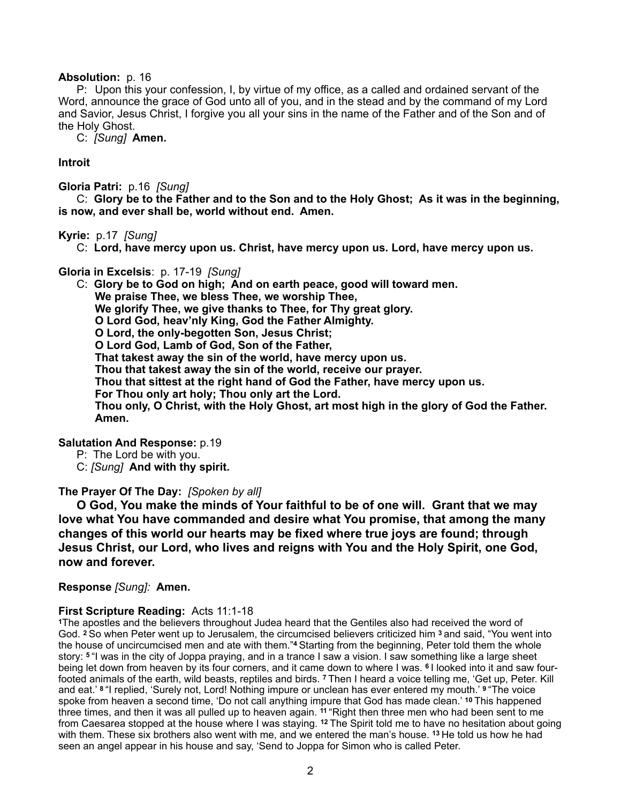#### **Absolution:** p. 16

 P:Upon this your confession, I, by virtue of my office, as a called and ordained servant of the Word, announce the grace of God unto all of you, and in the stead and by the command of my Lord and Savior, Jesus Christ, I forgive you all your sins in the name of the Father and of the Son and of the Holy Ghost.

C: *[Sung]* **Amen.**

#### **Introit**

**Gloria Patri:** p.16 *[Sung]* 

 C: **Glory be to the Father and to the Son and to the Holy Ghost; As it was in the beginning, is now, and ever shall be, world without end. Amen.**

#### **Kyrie:** p.17*[Sung]*

C: **Lord, have mercy upon us. Christ, have mercy upon us. Lord, have mercy upon us.** 

#### **Gloria in Excelsis**:p. 17-19 *[Sung]*

 C: **Glory be to God on high; And on earth peace, good will toward men. We praise Thee, we bless Thee, we worship Thee, We glorify Thee, we give thanks to Thee, for Thy great glory. O Lord God, heav'nly King, God the Father Almighty. O Lord, the only-begotten Son, Jesus Christ; O Lord God, Lamb of God, Son of the Father, That takest away the sin of the world, have mercy upon us. Thou that takest away the sin of the world, receive our prayer. Thou that sittest at the right hand of God the Father, have mercy upon us. For Thou only art holy; Thou only art the Lord. Thou only, O Christ, with the Holy Ghost, art most high in the glory of God the Father. Amen.** 

#### **Salutation And Response:** p.19

- P: The Lord be with you.
- C: *[Sung]* **And with thy spirit.**

#### **The Prayer Of The Day:** *[Spoken by all]*

 **O God, You make the minds of Your faithful to be of one will. Grant that we may love what You have commanded and desire what You promise, that among the many changes of this world our hearts may be fixed where true joys are found; through Jesus Christ, our Lord, who lives and reigns with You and the Holy Spirit, one God, now and forever.** 

#### **Response** *[Sung]:* **Amen.**

#### **First Scripture Reading:** Acts 11:1-18

**<sup>1</sup>**The apostles and the believers throughout Judea heard that the Gentiles also had received the word of God. **2** So when Peter went up to Jerusalem, the circumcised believers criticized him **3** and said, "You went into the house of uncircumcised men and ate with them."**4** Starting from the beginning, Peter told them the whole story: **5** "I was in the city of Joppa praying, and in a trance I saw a vision. I saw something like a large sheet being let down from heaven by its four corners, and it came down to where I was. **6** I looked into it and saw fourfooted animals of the earth, wild beasts, reptiles and birds. **7** Then I heard a voice telling me, 'Get up, Peter. Kill and eat.' **8** "I replied, 'Surely not, Lord! Nothing impure or unclean has ever entered my mouth.' **9** "The voice spoke from heaven a second time, 'Do not call anything impure that God has made clean.' **10** This happened three times, and then it was all pulled up to heaven again. <sup>11</sup> "Right then three men who had been sent to me from Caesarea stopped at the house where I was staying. **12** The Spirit told me to have no hesitation about going with them. These six brothers also went with me, and we entered the man's house. **13** He told us how he had seen an angel appear in his house and say, 'Send to Joppa for Simon who is called Peter.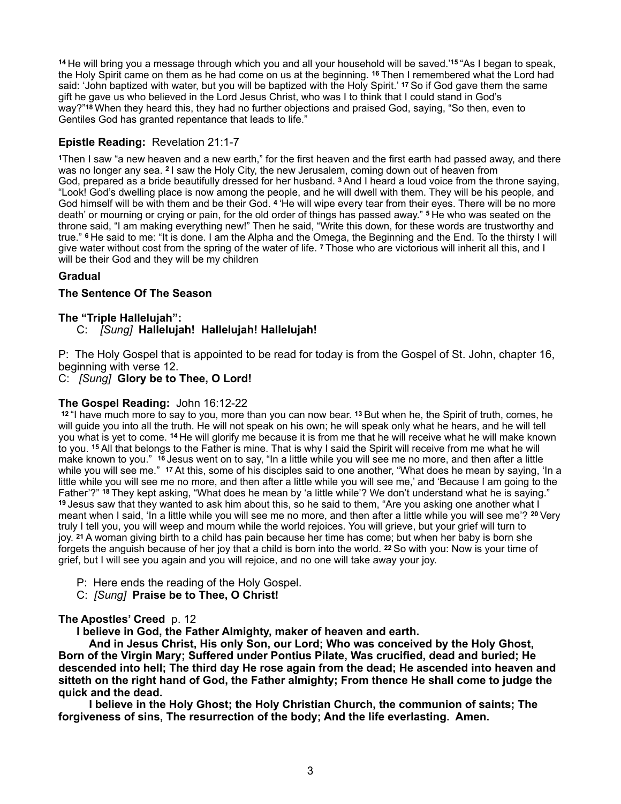**<sup>14</sup>**He will bring you a message through which you and all your household will be saved.'**15** "As I began to speak, the Holy Spirit came on them as he had come on us at the beginning. **16** Then I remembered what the Lord had said: 'John baptized with water, but you will be baptized with the Holy Spirit.' **17** So if God gave them the same gift he gave us who believed in the Lord Jesus Christ, who was I to think that I could stand in God's way?"**18** When they heard this, they had no further objections and praised God, saying, "So then, even to Gentiles God has granted repentance that leads to life."

#### **Epistle Reading:** Revelation 21:1-7

**<sup>1</sup>**Then I saw "a new heaven and a new earth," for the first heaven and the first earth had passed away, and there was no longer any sea. **2** I saw the Holy City, the new Jerusalem, coming down out of heaven from God, prepared as a bride beautifully dressed for her husband. **3** And I heard a loud voice from the throne saying, "Look! God's dwelling place is now among the people, and he will dwell with them. They will be his people, and God himself will be with them and be their God. **4** 'He will wipe every tear from their eyes. There will be no more death' or mourning or crying or pain, for the old order of things has passed away." **5** He who was seated on the throne said, "I am making everything new!" Then he said, "Write this down, for these words are trustworthy and true." **6** He said to me: "It is done. I am the Alpha and the Omega, the Beginning and the End. To the thirsty I will give water without cost from the spring of the water of life. **7** Those who are victorious will inherit all this, and I will be their God and they will be my children

#### **Gradual**

#### **The Sentence Of The Season**

#### **The "Triple Hallelujah":**

#### C: *[Sung]* **Hallelujah! Hallelujah! Hallelujah!**

P: The Holy Gospel that is appointed to be read for today is from the Gospel of St. John, chapter 16, beginning with verse 12.

#### C:*[Sung]* **Glory be to Thee, O Lord!**

#### **The Gospel Reading:** John 16:12-22

**<sup>12</sup>**"I have much more to say to you, more than you can now bear. **13** But when he, the Spirit of truth, comes, he will guide you into all the truth. He will not speak on his own; he will speak only what he hears, and he will tell you what is yet to come. **14** He will glorify me because it is from me that he will receive what he will make known to you. **15** All that belongs to the Father is mine. That is why I said the Spirit will receive from me what he will make known to you." **16** Jesus went on to say, "In a little while you will see me no more, and then after a little while you will see me." **17** At this, some of his disciples said to one another, "What does he mean by saying, 'In a little while you will see me no more, and then after a little while you will see me,' and 'Because I am going to the Father'?" **18** They kept asking, "What does he mean by 'a little while'? We don't understand what he is saying." **<sup>19</sup>**Jesus saw that they wanted to ask him about this, so he said to them, "Are you asking one another what I meant when I said, 'In a little while you will see me no more, and then after a little while you will see me'? **20** Very truly I tell you, you will weep and mourn while the world rejoices. You will grieve, but your grief will turn to joy. **21** A woman giving birth to a child has pain because her time has come; but when her baby is born she forgets the anguish because of her joy that a child is born into the world. **22** So with you: Now is your time of grief, but I will see you again and you will rejoice, and no one will take away your joy.

- P: Here ends the reading of the Holy Gospel.
- C:*[Sung]* **Praise be to Thee, O Christ!**

#### **The Apostles' Creed** p. 12

 **I believe in God, the Father Almighty, maker of heaven and earth.** 

 **And in Jesus Christ, His only Son, our Lord; Who was conceived by the Holy Ghost, Born of the Virgin Mary; Suffered under Pontius Pilate, Was crucified, dead and buried; He descended into hell; The third day He rose again from the dead; He ascended into heaven and sitteth on the right hand of God, the Father almighty; From thence He shall come to judge the quick and the dead.** 

 **I believe in the Holy Ghost; the Holy Christian Church, the communion of saints; The forgiveness of sins, The resurrection of the body; And the life everlasting. Amen.**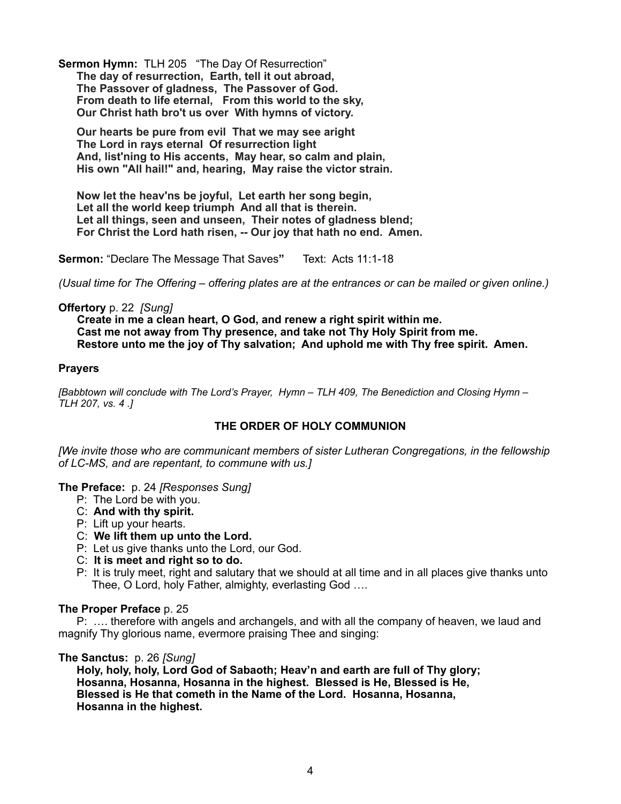**Sermon Hymn:** TLH 205"The Day Of Resurrection" **The day of resurrection, Earth, tell it out abroad, The Passover of gladness, The Passover of God. From death to life eternal, From this world to the sky, Our Christ hath bro't us over With hymns of victory.**

 **Our hearts be pure from evil That we may see aright The Lord in rays eternal Of resurrection light And, list'ning to His accents, May hear, so calm and plain, His own "All hail!" and, hearing, May raise the victor strain.** 

 **Now let the heav'ns be joyful, Let earth her song begin, Let all the world keep triumph And all that is therein. Let all things, seen and unseen, Their notes of gladness blend; For Christ the Lord hath risen, -- Our joy that hath no end. Amen.**

**Sermon:** "Declare The Message That Saves**"** Text: Acts 11:1-18

*(Usual time for The Offering – offering plates are at the entrances or can be mailed or given online.)* 

#### **Offertory** p. 22 *[Sung]*

 **Create in me a clean heart, O God, and renew a right spirit within me. Cast me not away from Thy presence, and take not Thy Holy Spirit from me. Restore unto me the joy of Thy salvation; And uphold me with Thy free spirit. Amen.**

#### **Prayers**

*[Babbtown will conclude with The Lord's Prayer, Hymn – TLH 409, The Benediction and Closing Hymn – TLH 207, vs. 4 .]* 

#### **THE ORDER OF HOLY COMMUNION**

*[We invite those who are communicant members of sister Lutheran Congregations, in the fellowship of LC-MS, and are repentant, to commune with us.]* 

**The Preface:** p. 24 *[Responses Sung]*

- P: The Lord be with you.
- C: **And with thy spirit.**
- P: Lift up your hearts.
- C: **We lift them up unto the Lord.**
- P: Let us give thanks unto the Lord, our God.
- C: **It is meet and right so to do.**
- P:It is truly meet, right and salutary that we should at all time and in all places give thanks unto Thee, O Lord, holy Father, almighty, everlasting God ….

#### **The Proper Preface** p. 25

 P: …. therefore with angels and archangels, and with all the company of heaven, we laud and magnify Thy glorious name, evermore praising Thee and singing:

#### **The Sanctus:** p. 26 *[Sung]*

 **Holy, holy, holy, Lord God of Sabaoth; Heav'n and earth are full of Thy glory; Hosanna, Hosanna, Hosanna in the highest. Blessed is He, Blessed is He, Blessed is He that cometh in the Name of the Lord. Hosanna, Hosanna, Hosanna in the highest.**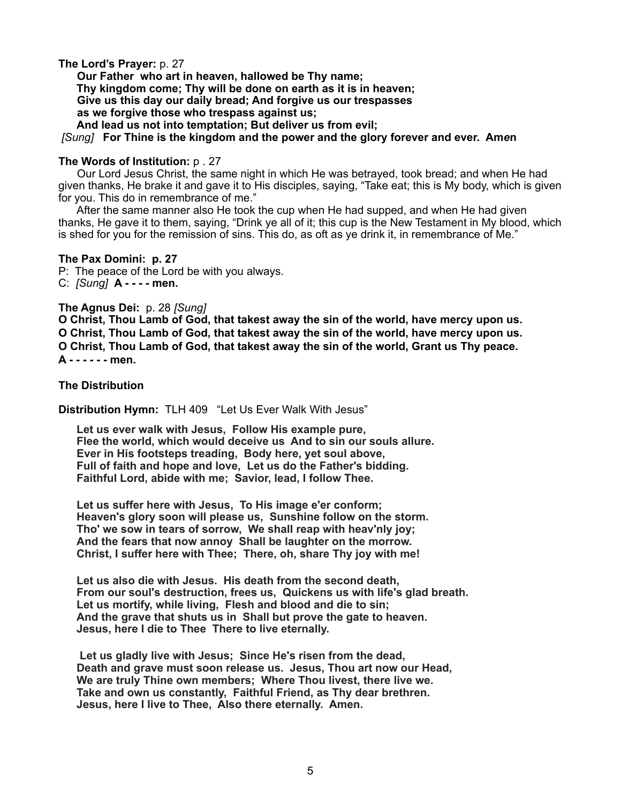**The Lord's Prayer:** p. 27

 **Our Father who art in heaven, hallowed be Thy name; Thy kingdom come; Thy will be done on earth as it is in heaven; Give us this day our daily bread; And forgive us our trespasses as we forgive those who trespass against us; And lead us not into temptation; But deliver us from evil;** 

 *[Sung]* **For Thine is the kingdom and the power and the glory forever and ever. Am***e***n** 

#### **The Words of Institution:** p . 27

Our Lord Jesus Christ, the same night in which He was betrayed, took bread; and when He had given thanks, He brake it and gave it to His disciples, saying, "Take eat; this is My body, which is given for you. This do in remembrance of me."

 After the same manner also He took the cup when He had supped, and when He had given thanks, He gave it to them, saying, "Drink ye all of it; this cup is the New Testament in My blood, which is shed for you for the remission of sins. This do, as oft as ye drink it, in remembrance of Me."

#### **The Pax Domini: p. 27**

P: The peace of the Lord be with you always. C: *[Sung]* **A - - - - men.** 

#### **The Agnus Dei:** p. 28 *[Sung]*

**O Christ, Thou Lamb of God, that takest away the sin of the world, have mercy upon us. O Christ, Thou Lamb of God, that takest away the sin of the world, have mercy upon us. O Christ, Thou Lamb of God, that takest away the sin of the world, Grant us Thy peace. A - - - - - - men.** 

**The Distribution** 

**Distribution Hymn:** TLH 409 "Let Us Ever Walk With Jesus"

**Let us ever walk with Jesus, Follow His example pure, Flee the world, which would deceive us And to sin our souls allure. Ever in His footsteps treading, Body here, yet soul above, Full of faith and hope and love, Let us do the Father's bidding. Faithful Lord, abide with me; Savior, lead, I follow Thee.** 

 **Let us suffer here with Jesus, To His image e'er conform; Heaven's glory soon will please us, Sunshine follow on the storm. Tho' we sow in tears of sorrow, We shall reap with heav'nly joy; And the fears that now annoy Shall be laughter on the morrow. Christ, I suffer here with Thee; There, oh, share Thy joy with me!** 

 **Let us also die with Jesus. His death from the second death, From our soul's destruction, frees us, Quickens us with life's glad breath. Let us mortify, while living, Flesh and blood and die to sin; And the grave that shuts us in Shall but prove the gate to heaven. Jesus, here I die to Thee There to live eternally.** 

 **Let us gladly live with Jesus; Since He's risen from the dead, Death and grave must soon release us. Jesus, Thou art now our Head, We are truly Thine own members; Where Thou livest, there live we. Take and own us constantly, Faithful Friend, as Thy dear brethren. Jesus, here I live to Thee, Also there eternally. Amen.**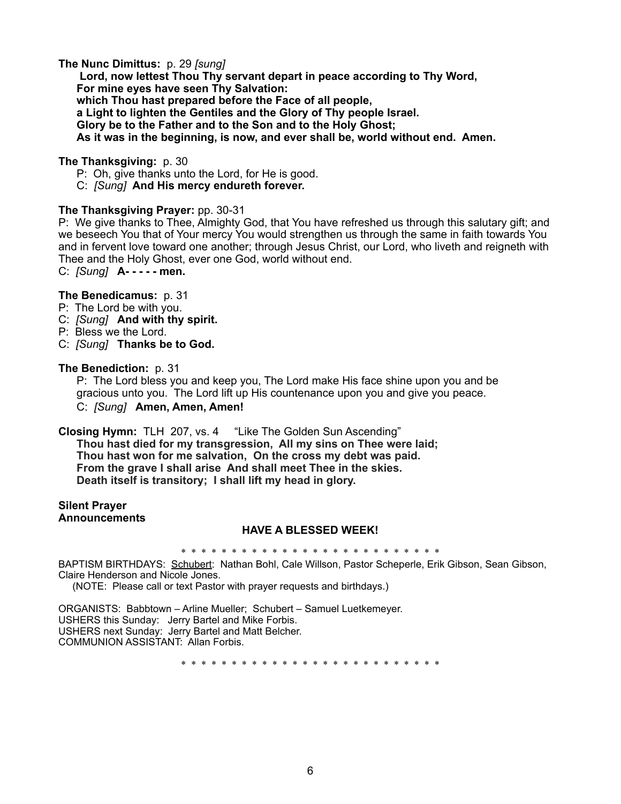#### **The Nunc Dimittus:** p. 29 *[sung]*

**Lord, now lettest Thou Thy servant depart in peace according to Thy Word, For mine eyes have seen Thy Salvation: which Thou hast prepared before the Face of all people, a Light to lighten the Gentiles and the Glory of Thy people Israel. Glory be to the Father and to the Son and to the Holy Ghost; As it was in the beginning, is now, and ever shall be, world without end. Amen.**

#### **The Thanksgiving:** p. 30

P: Oh, give thanks unto the Lord, for He is good.

C: *[Sung]* **And His mercy endureth forever.** 

#### **The Thanksgiving Prayer:** pp. 30-31

P: We give thanks to Thee, Almighty God, that You have refreshed us through this salutary gift; and we beseech You that of Your mercy You would strengthen us through the same in faith towards You and in fervent love toward one another; through Jesus Christ, our Lord, who liveth and reigneth with Thee and the Holy Ghost, ever one God, world without end.

C: *[Sung]* **A- - - - - men.** 

#### **The Benedicamus:** p. 31

- P: The Lord be with you.
- C: *[Sung]* **And with thy spirit.**
- P: Bless we the Lord.
- C: *[Sung]* **Thanks be to God.**

#### **The Benediction:** p. 31

 P: The Lord bless you and keep you, The Lord make His face shine upon you and be gracious unto you. The Lord lift up His countenance upon you and give you peace. C:*[Sung]* **Amen, Amen, Amen!**

**Closing Hymn:** TLH 207, vs. 4 "Like The Golden Sun Ascending"

**Thou hast died for my transgression, All my sins on Thee were laid; Thou hast won for me salvation, On the cross my debt was paid. From the grave I shall arise And shall meet Thee in the skies. Death itself is transitory; I shall lift my head in glory.**

#### **Silent Prayer Announcements**

#### **HAVE A BLESSED WEEK!**

\* \* \* \* \* \* \* \* \* \* \* \* \* \* \* \* \* \* \* \* \* \* \* \* \* \*

BAPTISM BIRTHDAYS: Schubert: Nathan Bohl, Cale Willson, Pastor Scheperle, Erik Gibson, Sean Gibson, Claire Henderson and Nicole Jones.

(NOTE: Please call or text Pastor with prayer requests and birthdays.)

ORGANISTS: Babbtown – Arline Mueller; Schubert – Samuel Luetkemeyer. USHERS this Sunday: Jerry Bartel and Mike Forbis. USHERS next Sunday: Jerry Bartel and Matt Belcher. COMMUNION ASSISTANT: Allan Forbis.

\* \* \* \* \* \* \* \* \* \* \* \* \* \* \* \* \* \* \* \* \* \* \* \* \* \*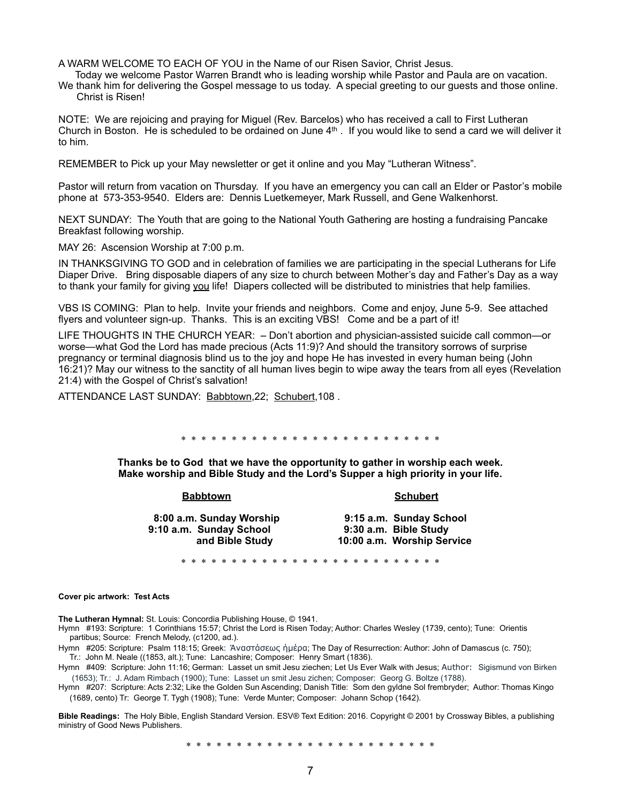A WARM WELCOME TO EACH OF YOU in the Name of our Risen Savior, Christ Jesus.

 Today we welcome Pastor Warren Brandt who is leading worship while Pastor and Paula are on vacation. We thank him for delivering the Gospel message to us today. A special greeting to our guests and those online. Christ is Risen!

NOTE: We are rejoicing and praying for Miguel (Rev. Barcelos) who has received a call to First Lutheran Church in Boston. He is scheduled to be ordained on June 4th . If you would like to send a card we will deliver it to him.

REMEMBER to Pick up your May newsletter or get it online and you May "Lutheran Witness".

Pastor will return from vacation on Thursday. If you have an emergency you can call an Elder or Pastor's mobile phone at 573-353-9540. Elders are: Dennis Luetkemeyer, Mark Russell, and Gene Walkenhorst.

NEXT SUNDAY: The Youth that are going to the National Youth Gathering are hosting a fundraising Pancake Breakfast following worship.

MAY 26: Ascension Worship at 7:00 p.m.

IN THANKSGIVING TO GOD and in celebration of families we are participating in the special Lutherans for Life Diaper Drive. Bring disposable diapers of any size to church between Mother's day and Father's Day as a way to thank your family for giving you life! Diapers collected will be distributed to ministries that help families.

VBS IS COMING: Plan to help. Invite your friends and neighbors. Come and enjoy, June 5-9. See attached flyers and volunteer sign-up. Thanks. This is an exciting VBS! Come and be a part of it!

LIFE THOUGHTS IN THE CHURCH YEAR: **–** Don't abortion and physician-assisted suicide call common—or worse—what God the Lord has made precious (Acts 11:9)? And should the transitory sorrows of surprise pregnancy or terminal diagnosis blind us to the joy and hope He has invested in every human being (John 16:21)? May our witness to the sanctity of all human lives begin to wipe away the tears from all eyes (Revelation 21:4) with the Gospel of Christ's salvation!

ATTENDANCE LAST SUNDAY: Babbtown, 22; Schubert, 108.

\* \* \* \* \* \* \* \* \* \* \* \* \* \* \* \* \* \* \* \* \* \* \* \* \* \*

**Thanks be to God that we have the opportunity to gather in worship each week. Make worship and Bible Study and the Lord's Supper a high priority in your life.** 

#### **Babbtown Schubert**

**8:00 a.m. Sunday Worship 9:15 a.m. Sunday School 9:10 a.m. Sunday School** 

# **and Bible Study 10:00 a.m. Worship Service**

\* \* \* \* \* \* \* \* \* \* \* \* \* \* \* \* \* \* \* \* \* \* \* \* \* \*

#### **Cover pic artwork: Test Acts**

**The Lutheran Hymnal:** St. Louis: Concordia Publishing House, © 1941.

Hymn #193: Scripture: 1 Corinthians 15:57; Christ the Lord is Risen Today; Author: Charles Wesley (1739, cento); Tune: Orientis partibus; Source: French Melody, (c1200, ad.).

Hymn #205: Scripture: Psalm 118:15; Greek: Άναστάσεως ήµέρα; The Day of Resurrection: Author: John of Damascus (c. 750); Tr.: John M. Neale ((1853, alt.); Tune: Lancashire; Composer: Henry Smart (1836).

Hymn #409: Scripture: John 11:16; German: Lasset un smit Jesu ziechen; Let Us Ever Walk with Jesus; Author: Sigismund von Birken (1653); Tr.: J. Adam Rimbach (1900); Tune: Lasset un smit Jesu zichen; Composer: Georg G. Boltze (1788).

Hymn #207: Scripture: Acts 2:32; Like the Golden Sun Ascending; Danish Title: Som den gyldne Sol frembryder; Author: Thomas Kingo (1689, cento) Tr: George T. Tygh (1908); Tune: Verde Munter; Composer: Johann Schop (1642).

**Bible Readings:** The Holy Bible, English Standard Version. ESV® Text Edition: 2016. Copyright © 2001 by [Crossway Bibles, a publishing](https://www.crossway.org/)  [ministry of Good News Publishers.](https://www.crossway.org/)

\* \* \* \* \* \* \* \* \* \* \* \* \* \* \* \* \* \* \* \* \* \* \* \* \*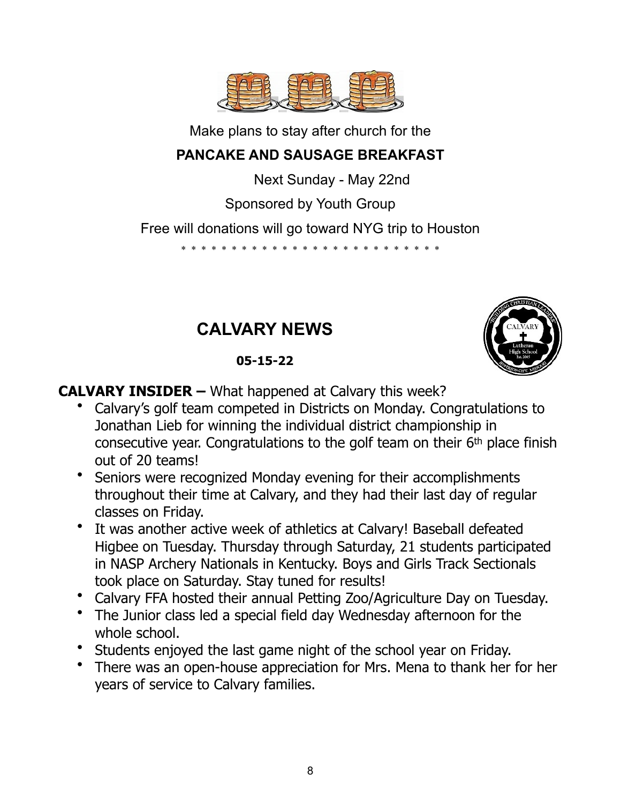

Make plans to stay after church for the

# **PANCAKE AND SAUSAGE BREAKFAST**

Next Sunday - May 22nd

Sponsored by Youth Group

Free will donations will go toward NYG trip to Houston

\* \* \* \* \* \* \* \* \* \* \* \* \* \* \* \* \* \* \* \* \* \* \* \* \* \*

# **CALVARY NEWS**

# **05-15-22**



**CALVARY INSIDER –** What happened at Calvary this week?

- Calvary's golf team competed in Districts on Monday. Congratulations to Jonathan Lieb for winning the individual district championship in consecutive year. Congratulations to the golf team on their 6th place finish out of 20 teams!
- Seniors were recognized Monday evening for their accomplishments throughout their time at Calvary, and they had their last day of regular classes on Friday.
- It was another active week of athletics at Calvary! Baseball defeated Higbee on Tuesday. Thursday through Saturday, 21 students participated in NASP Archery Nationals in Kentucky. Boys and Girls Track Sectionals took place on Saturday. Stay tuned for results!
- Calvary FFA hosted their annual Petting Zoo/Agriculture Day on Tuesday.
- The Junior class led a special field day Wednesday afternoon for the whole school.
- Students enjoyed the last game night of the school year on Friday.
- There was an open-house appreciation for Mrs. Mena to thank her for her years of service to Calvary families.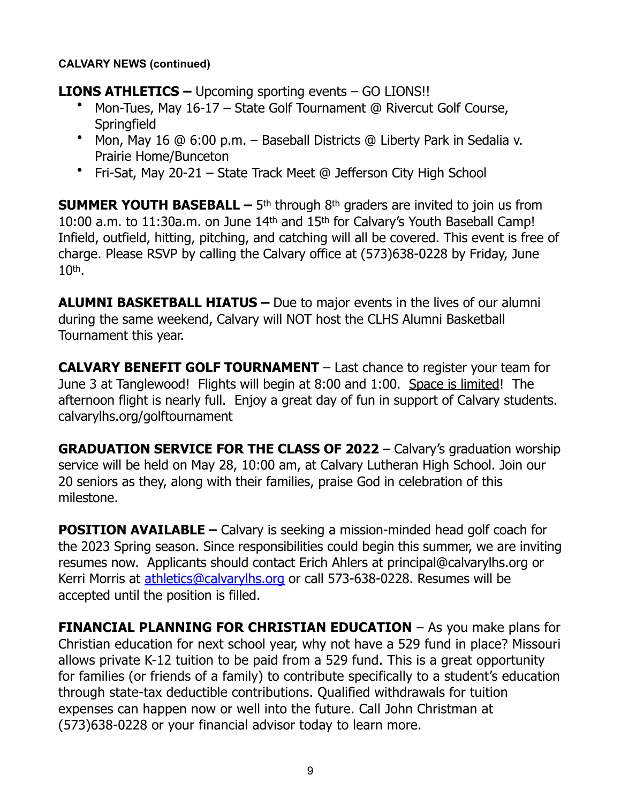#### **CALVARY NEWS (continued)**

### **LIONS ATHLETICS –** Upcoming sporting events – GO LIONS!!

- Mon-Tues, May 16-17 State Golf Tournament @ Rivercut Golf Course, **Springfield**
- Mon, May 16 @ 6:00 p.m. Baseball Districts @ Liberty Park in Sedalia v. Prairie Home/Bunceton
- Fri-Sat, May 20-21 State Track Meet @ Jefferson City High School

**SUMMER YOUTH BASEBALL –** 5<sup>th</sup> through 8<sup>th</sup> graders are invited to join us from 10:00 a.m. to 11:30a.m. on June 14th and 15th for Calvary's Youth Baseball Camp! Infield, outfield, hitting, pitching, and catching will all be covered. This event is free of charge. Please RSVP by calling the Calvary office at (573)638-0228 by Friday, June 10th.

**ALUMNI BASKETBALL HIATUS –** Due to major events in the lives of our alumni during the same weekend, Calvary will NOT host the CLHS Alumni Basketball Tournament this year.

**CALVARY BENEFIT GOLF TOURNAMENT** – Last chance to register your team for June 3 at Tanglewood! Flights will begin at 8:00 and 1:00. Space is limited! The afternoon flight is nearly full. Enjoy a great day of fun in support of Calvary students. calvarylhs.org/golftournament

**GRADUATION SERVICE FOR THE CLASS OF 2022** – Calvary's graduation worship service will be held on May 28, 10:00 am, at Calvary Lutheran High School. Join our 20 seniors as they, along with their families, praise God in celebration of this milestone.

**POSITION AVAILABLE –** Calvary is seeking a mission-minded head golf coach for the 2023 Spring season. Since responsibilities could begin this summer, we are inviting resumes now. Applicants should contact Erich Ahlers at principal@calvarylhs.org or Kerri Morris at [athletics@calvarylhs.org](mailto:athletics@calvarylhs.org) or call 573-638-0228. Resumes will be accepted until the position is filled.

**FINANCIAL PLANNING FOR CHRISTIAN EDUCATION** – As you make plans for Christian education for next school year, why not have a 529 fund in place? Missouri allows private K-12 tuition to be paid from a 529 fund. This is a great opportunity for families (or friends of a family) to contribute specifically to a student's education through state-tax deductible contributions. Qualified withdrawals for tuition expenses can happen now or well into the future. Call John Christman at (573)638-0228 or your financial advisor today to learn more.